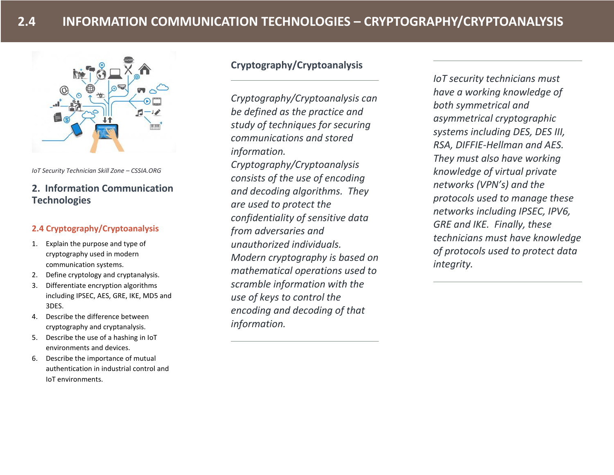

*IoT Security Technician Skill Zone – CSSIA.ORG*

## **2. Information Communication Technologies**

## **2.4 Cryptography/Cryptoanalysis**

- 1. Explain the purpose and type of cryptography used in modern communication systems.
- 2. Define cryptology and cryptanalysis.
- 3. Differentiate encryption algorithms including IPSEC, AES, GRE, IKE, MD5 and 3DES.
- 4. Describe the difference between cryptography and cryptanalysis.
- 5. Describe the use of a hashing in IoT environments and devices.
- 6. Describe the importance of mutual authentication in industrial control and IoT environments.

# **Cryptography/Cryptoanalysis**

*Cryptography/Cryptoanalysis can be defined as the practice and study of techniques for securing communications and stored information. Cryptography/Cryptoanalysis consists of the use of encoding and decoding algorithms. They are used to protect the confidentiality of sensitive data from adversaries and unauthorized individuals. Modern cryptography is based on mathematical operations used to scramble information with the use of keys to control the encoding and decoding of that information.* 

*IoT security technicians must have a working knowledge of both symmetrical and asymmetrical cryptographic systems including DES, DES III, RSA, DIFFIE-Hellman and AES. They must also have working knowledge of virtual private networks (VPN's) and the protocols used to manage these networks including IPSEC, IPV6, GRE and IKE. Finally, these technicians must have knowledge of protocols used to protect data integrity.*